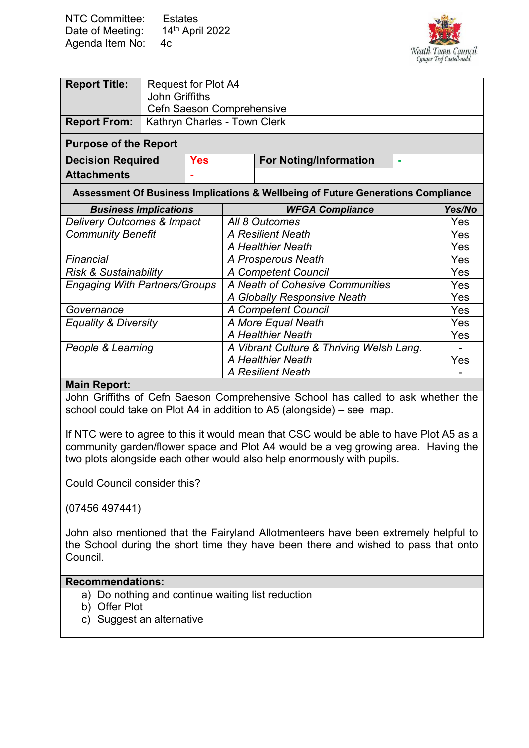| <b>NTC Committee:</b> | <b>Estates</b>  |
|-----------------------|-----------------|
| Date of Meeting:      | 14th April 2022 |
| Agenda Item No:       | 4c.             |



| <b>Report Title:</b>                                                             | <b>Request for Plot A4</b>                 |                                 |                            |                                          |        |     |
|----------------------------------------------------------------------------------|--------------------------------------------|---------------------------------|----------------------------|------------------------------------------|--------|-----|
|                                                                                  | <b>John Griffiths</b>                      |                                 |                            |                                          |        |     |
|                                                                                  | Cefn Saeson Comprehensive                  |                                 |                            |                                          |        |     |
| <b>Report From:</b>                                                              | Kathryn Charles - Town Clerk               |                                 |                            |                                          |        |     |
| <b>Purpose of the Report</b>                                                     |                                            |                                 |                            |                                          |        |     |
| <b>Decision Required</b>                                                         |                                            | <b>Yes</b>                      |                            | <b>For Noting/Information</b>            | ۰      |     |
| <b>Attachments</b>                                                               |                                            |                                 |                            |                                          |        |     |
| Assessment Of Business Implications & Wellbeing of Future Generations Compliance |                                            |                                 |                            |                                          |        |     |
| <b>Business Implications</b>                                                     |                                            |                                 | <b>WFGA Compliance</b>     |                                          | Yes/No |     |
| <b>Delivery Outcomes &amp; Impact</b><br>All 8 Outcomes                          |                                            |                                 | Yes                        |                                          |        |     |
| <b>Community Benefit</b>                                                         |                                            | A Resilient Neath               |                            | Yes                                      |        |     |
|                                                                                  |                                            |                                 | <b>A Healthier Neath</b>   |                                          | Yes    |     |
| Financial                                                                        | A Prosperous Neath                         |                                 |                            | Yes                                      |        |     |
| <b>Risk &amp; Sustainability</b>                                                 |                                            | <b>A Competent Council</b>      |                            | Yes                                      |        |     |
| <b>Engaging With Partners/Groups</b>                                             |                                            | A Neath of Cohesive Communities |                            | <b>Yes</b>                               |        |     |
|                                                                                  |                                            |                                 |                            | A Globally Responsive Neath              |        | Yes |
| Governance                                                                       |                                            |                                 | <b>A Competent Council</b> |                                          | Yes    |     |
|                                                                                  | A More Equal Neath<br>Equality & Diversity |                                 |                            | <b>Yes</b>                               |        |     |
|                                                                                  |                                            |                                 |                            | A Healthier Neath                        |        | Yes |
| People & Learning                                                                |                                            |                                 |                            | A Vibrant Culture & Thriving Welsh Lang. |        |     |
|                                                                                  |                                            |                                 |                            | <b>A Healthier Neath</b>                 |        | Yes |
|                                                                                  |                                            |                                 |                            | <b>A Resilient Neath</b>                 |        |     |

## **Main Report:**

John Griffiths of Cefn Saeson Comprehensive School has called to ask whether the school could take on Plot A4 in addition to A5 (alongside) – see map.

If NTC were to agree to this it would mean that CSC would be able to have Plot A5 as a community garden/flower space and Plot A4 would be a veg growing area. Having the two plots alongside each other would also help enormously with pupils.

Could Council consider this?

(07456 497441)

John also mentioned that the Fairyland Allotmenteers have been extremely helpful to the School during the short time they have been there and wished to pass that onto Council.

## **Recommendations:**

- a) Do nothing and continue waiting list reduction
- b) Offer Plot
- c) Suggest an alternative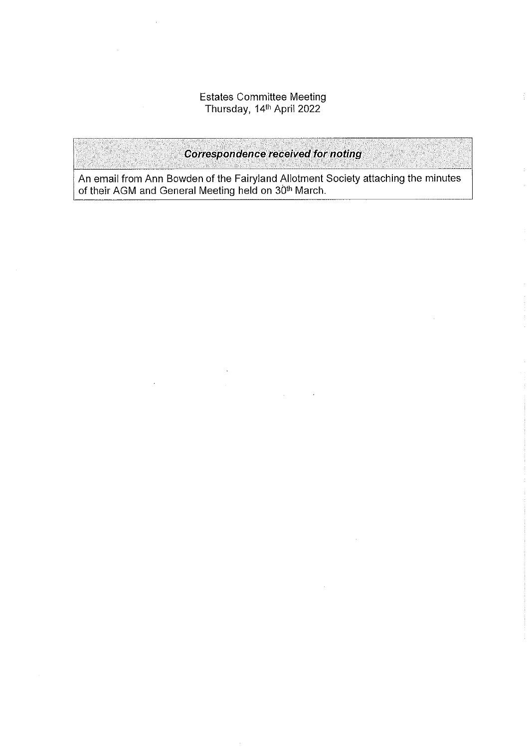## Estates Committee Meeting<br>Thursday, 14<sup>th</sup> April 2022

**Correspondence received for noting** 

An email from Ann Bowden of the Fairyland Allotment Society attaching the minutes of their AGM and General Meeting held on 30<sup>th</sup> March.